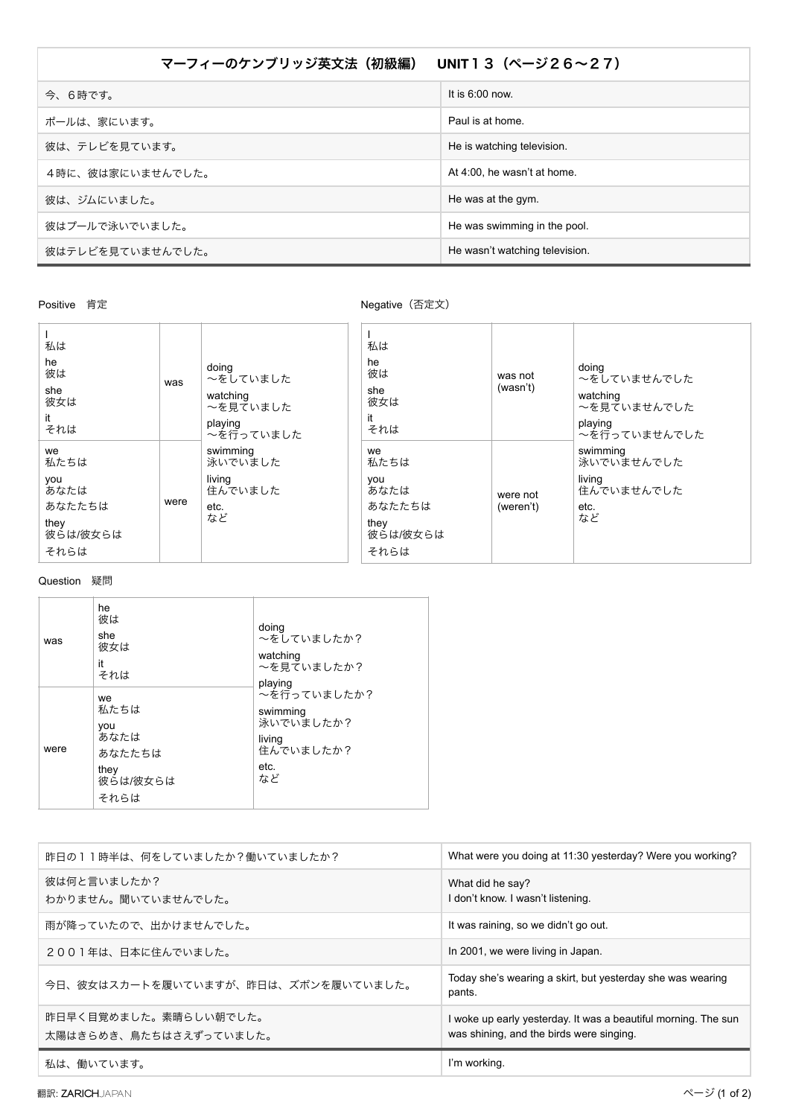| マーフィーのケンブリッジ英文法 (初級編) UNIT13 (ページ26~27) |                                |  |
|-----------------------------------------|--------------------------------|--|
| 今、6時です。                                 | It is $6:00$ now.              |  |
| ポールは、家にいます。                             | Paul is at home.               |  |
| 彼は、テレビを見ています。                           | He is watching television.     |  |
| 4時に、彼は家にいませんでした。                        | At 4:00, he wasn't at home.    |  |
| 彼は、ジムにいました。                             | He was at the gym.             |  |
| 彼はプールで泳いでいました。                          | He was swimming in the pool.   |  |
| 彼はテレビを見ていませんでした。                        | He wasn't watching television. |  |

## Positive 肯定

Negative (否定文)

| 私は<br>he<br>彼は<br>she<br>彼女は<br>it<br>それは                       | was  | doing<br>~をしていました<br>watching<br>~を見ていました<br>playing<br>~を行っていました | 私は<br>he<br>彼は<br>she<br>彼女は<br>it<br>それは                       | was not<br>(wasn't)   | doing<br>~をしていませんでした<br>watching<br>~を見ていませんでした<br>playing<br>〜を行っていませんでした |
|-----------------------------------------------------------------|------|-------------------------------------------------------------------|-----------------------------------------------------------------|-----------------------|----------------------------------------------------------------------------|
| we<br>私たちは<br>you<br>あなたは<br>あなたたちは<br>they<br>彼らは/彼女らは<br>それらは | were | swimming<br>泳いでいました<br>living<br>住んでいました<br>etc.<br>など            | we<br>私たちは<br>you<br>あなたは<br>あなたたちは<br>they<br>彼らは/彼女らは<br>それらは | were not<br>(weren't) | swimming<br>泳いでいませんでした<br>living<br>住んでいませんでした<br>etc.<br>など               |

## Question 疑問

| was  | he<br>彼は<br>she<br>彼女は<br>it<br>それは                             | doing<br>~をしていましたか?<br>watching<br>~を見ていましたか?<br>playing                  |
|------|-----------------------------------------------------------------|---------------------------------------------------------------------------|
| were | we<br>私たちは<br>vou<br>あなたは<br>あなたたちは<br>they<br>彼らは/彼女らは<br>それらは | ~を行っていましたか?<br>swimming<br>泳いでいましたか?<br>living<br>住んでいましたか?<br>etc.<br>など |

| 昨日の11時半は、何をしていましたか?働いていましたか?                    | What were you doing at 11:30 yesterday? Were you working?                                                  |
|-------------------------------------------------|------------------------------------------------------------------------------------------------------------|
| 彼は何と言いましたか?<br>わかりません。聞いていませんでした。               | What did he say?<br>I don't know. I wasn't listening.                                                      |
| 雨が降っていたので、出かけませんでした。                            | It was raining, so we didn't go out.                                                                       |
| 2001年は、日本に住んでいました。                              | In 2001, we were living in Japan.                                                                          |
| 今日、彼女はスカートを履いていますが、昨日は、ズボンを履いていました。             | Today she's wearing a skirt, but yesterday she was wearing<br>pants.                                       |
| 昨日早く目覚めました。素晴らしい朝でした。<br>太陽はきらめき、鳥たちはさえずっていました。 | I woke up early yesterday. It was a beautiful morning. The sun<br>was shining, and the birds were singing. |
| 私は、働いています。                                      | I'm working.                                                                                               |